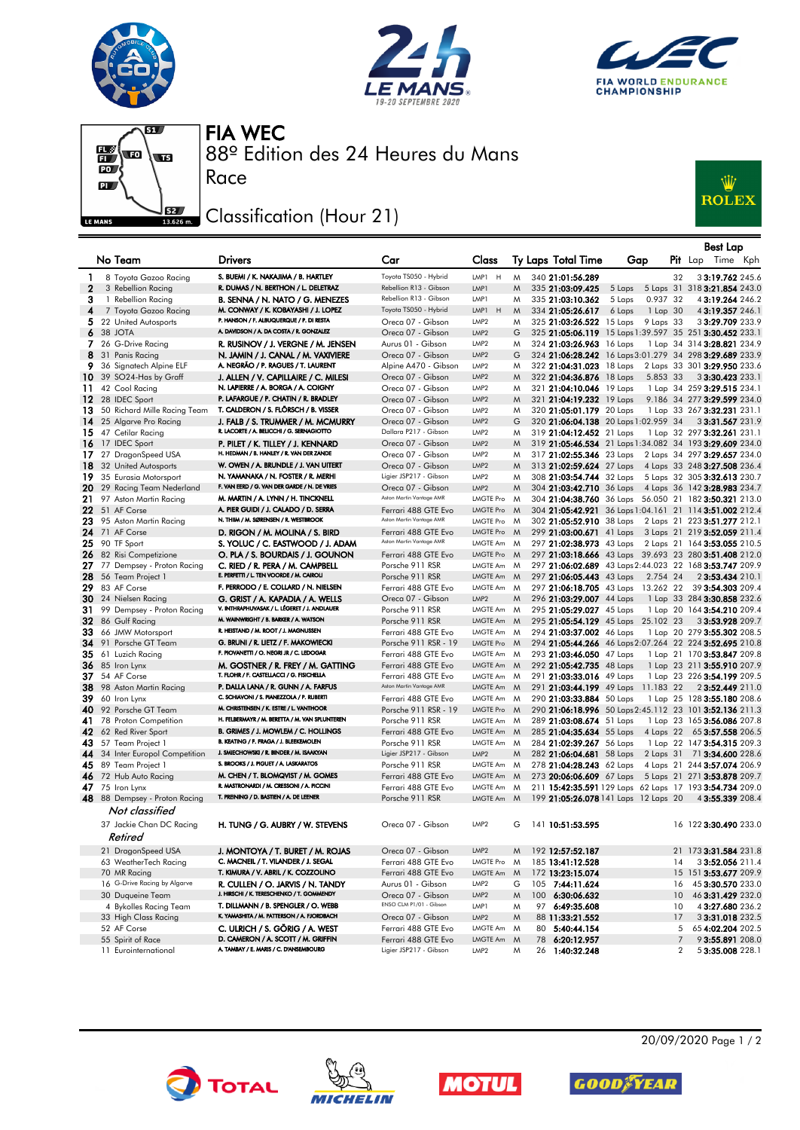







88º Edition des 24 Heures du Mans FIA WEC

## Classification (Hour 21)

Race



|              |                                               |                                                                                    |                                               |                                 |     |  |                                                                                                                  |        |           |    |                              | Best Lap |  |
|--------------|-----------------------------------------------|------------------------------------------------------------------------------------|-----------------------------------------------|---------------------------------|-----|--|------------------------------------------------------------------------------------------------------------------|--------|-----------|----|------------------------------|----------|--|
|              | No Team                                       | <b>Drivers</b>                                                                     | Car                                           | Class                           |     |  | Ty Laps Total Time                                                                                               | Gap    |           |    | Pit Lap Time Kph             |          |  |
| 1            | 8 Toyota Gazoo Racing                         | S. BUEMI / K. NAKAJIMA / B. HARTLEY                                                | Toyota TS050 - Hybrid                         | LMP1 H                          | M   |  | 340 21:01:56.289                                                                                                 |        |           | 32 | 33:19.762 245.6              |          |  |
| $\mathbf{2}$ | 3 Rebellion Racing                            | R. DUMAS / N. BERTHON / L. DELETRAZ                                                | Rebellion R13 - Gibson                        | LMP1                            | M   |  | 335 21:03:09.425                                                                                                 | 5 Laps |           |    | 5 Laps 31 318 3:21.854 243.0 |          |  |
| 3            | 1 Rebellion Racing                            | B. SENNA / N. NATO / G. MENEZES                                                    | Rebellion R13 - Gibson                        | LMP1                            | M   |  | 335 21:03:10.362                                                                                                 | 5 Laps | 0.937 32  |    | 43:19.264 246.2              |          |  |
| 4            | 7 Toyota Gazoo Racing                         | M. CONWAY / K. KOBAYASHI / J. LOPEZ                                                | Toyota TS050 - Hybrid                         | H<br>LMP1                       | M   |  | 334 21:05:26.617                                                                                                 | 6 Laps | 1 Lap 30  |    | 43:19.357 246.1              |          |  |
|              | 5 22 United Autosports                        | P. HANSON / F. ALBUQUERQUE / P. DI RESTA                                           | Oreca 07 - Gibson                             | LMP <sub>2</sub>                | M   |  | 325 21:03:26.522 15 Laps                                                                                         |        | 9 Laps 33 |    | 33:29.709 233.9              |          |  |
|              | 6 38 JOTA                                     | A. DAVIDSON / A. DA COSTA / R. GONZALEZ                                            | Oreca 07 - Gibson                             | LMP <sub>2</sub>                | G   |  | 325 21:05:06.119 15 Laps 1:39.597 35 251 3:30.452 233.1                                                          |        |           |    |                              |          |  |
|              | 7 26 G-Drive Racing                           | R. RUSINOV / J. VERGNE / M. JENSEN                                                 | Aurus 01 - Gibson                             | LMP <sub>2</sub>                | M   |  | 324 21:03:26.963 16 Laps                                                                                         |        |           |    | 1 Lap 34 314 3:28.821 234.9  |          |  |
|              | 8 31 Panis Racing                             | N. JAMIN / J. CANAL / M. VAXIVIERE                                                 | Oreca 07 - Gibson                             | LMP <sub>2</sub>                | G   |  | 324 21:06:28.242 16 Laps 3:01.279 34 298 3:29.689 233.9                                                          |        |           |    |                              |          |  |
| 9            | 36 Signatech Alpine ELF                       | A. NEGRÃO / P. RAGUES / T. LAURENT                                                 | Alpine A470 - Gibson                          | LMP <sub>2</sub>                | M   |  | 322 21:04:31.023 18 Laps                                                                                         |        |           |    | 2 Laps 33 301 3:29.950 233.6 |          |  |
|              | <b>10</b> 39 SO24-Has by Graff                | J. ALLEN / V. CAPILLAIRE / C. MILESI                                               | Oreca 07 - Gibson                             | LMP2                            | M   |  | 322 21:04:36.876 18 Laps                                                                                         |        | 5.853 33  |    | 33:30.423 233.1              |          |  |
| 11.          | 42 Cool Racing                                | N. LAPIERRE / A. BORGA / A. COIGNY                                                 | Oreca 07 - Gibson                             | LMP <sub>2</sub>                | M   |  | 321 21:04:10.046 19 Laps                                                                                         |        |           |    | 1 Lap 34 259 3:29.515 234.1  |          |  |
|              | 12 28 IDEC Sport                              | P. LAFARGUE / P. CHATIN / R. BRADLEY                                               | Oreca 07 - Gibson                             | LMP <sub>2</sub>                | M   |  | 321 21:04:19.232 19 Laps                                                                                         |        |           |    | 9.186 34 277 3:29.599 234.0  |          |  |
|              | 13 50 Richard Mille Racing Team               | T. CALDERON / S. FLÖRSCH / B. VISSER                                               | Oreca 07 - Gibson                             | LMP <sub>2</sub>                | M   |  | 320 21:05:01.179 20 Laps                                                                                         |        |           |    | 1 Lap 33 267 3:32.231 231.1  |          |  |
|              | 14 25 Algarve Pro Racing                      | J. FALB / S. TRUMMER / M. MCMURRY                                                  | Oreca 07 - Gibson                             | LMP <sub>2</sub>                | G   |  | 320 21:06:04.138 20 Laps 1:02.959 34                                                                             |        |           |    | 33:31.567 231.9              |          |  |
|              | 15 47 Cetilar Racing                          | R. LACORTE / A. BELICCHI / G. SERNAGIOTTO                                          | Dallara P217 - Gibson                         | LMP <sub>2</sub>                | M   |  | 319 21:04:12.452 21 Laps                                                                                         |        |           |    | 1 Lap 32 297 3:32.261 231.1  |          |  |
|              | 16 17 IDEC Sport                              | P. PILET / K. TILLEY / J. KENNARD                                                  | Oreca 07 - Gibson                             | LMP <sub>2</sub>                | M   |  | 319 21:05:46.534 21 Laps 1:34.082 34 193 3:29.609 234.0                                                          |        |           |    |                              |          |  |
|              | 17 27 DragonSpeed USA                         | H. HEDMAN / B. HANLEY / R. VAN DER ZANDE                                           | Oreca 07 - Gibson                             | LMP <sub>2</sub>                | M   |  | 317 21:02:55.346 23 Laps                                                                                         |        |           |    | 2 Laps 34 297 3:29.657 234.0 |          |  |
|              | 18 32 United Autosports                       | W. OWEN / A. BRUNDLE / J. VAN UITERT                                               | Oreca 07 - Gibson                             | LMP <sub>2</sub>                | M   |  | 313 21:02:59.624 27 Laps                                                                                         |        |           |    | 4 Laps 33 248 3:27.508 236.4 |          |  |
|              | 19 35 Eurasia Motorsport                      | N. YAMANAKA / N. FOSTER / R. MERHI<br>F. VAN EERD / G. VAN DER GARDE / N. DE VRIES | Ligier JSP217 - Gibson                        | LMP2                            | M   |  | 308 21:03:54.744 32 Laps                                                                                         |        |           |    | 5 Laps 32 305 3:32.613 230.7 |          |  |
|              | 20 29 Racing Team Nederland                   | M. MARTIN / A. LYNN / H. TINCKNELL                                                 | Oreca 07 - Gibson<br>Aston Martin Vantage AMR | LMP <sub>2</sub><br>LMGTE Pro M | M   |  | 304 21:03:42.710 36 Laps                                                                                         |        |           |    | 4 Laps 36 142 3:28.983 234.7 |          |  |
|              | 21 97 Aston Martin Racing<br>22 51 AF Corse   | A. PIER GUIDI / J. CALADO / D. SERRA                                               | Ferrari 488 GTE Evo                           | LMGTE Pro M                     |     |  | 304 21:04:38.760 36 Laps 56.050 21 182 3:50.321 213.0<br>304 21:05:42.921 36 Laps 1:04.161 21 114 3:51.002 212.4 |        |           |    |                              |          |  |
|              | 23 95 Aston Martin Racing                     | N. THIIM / M. SØRENSEN / R. WESTBROOK                                              | Aston Martin Vantage AMR                      | LMGTE Pro                       | - M |  | 302 21:05:52.910 38 Laps                                                                                         |        |           |    | 2 Laps 21 223 3:51.277 212.1 |          |  |
|              | <b>24</b> 71 AF Corse                         | D. RIGON / M. MOLINA / S. BIRD                                                     | Ferrari 488 GTE Evo                           | LMGTE Pro M                     |     |  | 299 21:03:00.671 41 Laps                                                                                         |        |           |    | 3 Laps 21 219 3:52.059 211.4 |          |  |
|              | 25 90 TF Sport                                | S. YOLUC / C. EASTWOOD / J. ADAM                                                   | Aston Martin Vantage AMR                      | LMGTE Am                        | M   |  | 297 21:02:38.973 43 Laps                                                                                         |        |           |    | 2 Laps 21 164 3:53.055 210.5 |          |  |
|              | 26 82 Risi Competizione                       | O. PLA / S. BOURDAIS / J. GOUNON                                                   | Ferrari 488 GTE Evo                           | LMGTE Pro M                     |     |  | 297 21:03:18.666 43 Laps 39.693 23 280 3:51.408 212.0                                                            |        |           |    |                              |          |  |
|              | 27 77 Dempsey - Proton Racing                 | C. RIED / R. PERA / M. CAMPBELL                                                    | Porsche 911 RSR                               | LMGTE Am                        | M   |  | 297 21:06:02.689 43 Laps 2:44.023 22 168 3:53.747 209.9                                                          |        |           |    |                              |          |  |
| 28.          | 56 Team Project 1                             | E. PERFETTI / L. TEN VOORDE / M. CAIROLI                                           | Porsche 911 RSR                               | LMGTE Am M                      |     |  | 297 21:06:05.443 43 Laps                                                                                         |        | 2.754 24  |    | 2 3:53.434 210.1             |          |  |
|              | 29 83 AF Corse                                | F. PERRODO / E. COLLARD / N. NIELSEN                                               | Ferrari 488 GTE Evo                           | LMGTE Am M                      |     |  | 297 21:06:18.705 43 Laps 13.262 22                                                                               |        |           |    | 39 3:54.303 209.4            |          |  |
|              | 30 24 Nielsen Racing                          | G. GRIST / A. KAPADIA / A. WELLS                                                   | Oreca 07 - Gibson                             | LMP <sub>2</sub>                | M   |  | 296 21:03:29.007 44 Laps                                                                                         |        |           |    | 1 Lap 33 284 3:30.858 232.6  |          |  |
| 31.          | 99 Dempsey - Proton Racing                    | V. INTHRAPHUVASAK / L. LÉGERET / J. ANDLAUER                                       | Porsche 911 RSR                               | LMGTE Am M                      |     |  | 295 21:05:29.027 45 Laps                                                                                         |        |           |    | 1 Lap 20 164 3:54.210 209.4  |          |  |
|              | 32 86 Gulf Racing                             | M. WAINWRIGHT / B. BARKER / A. WATSON                                              | Porsche 911 RSR                               | LMGTE Am M                      |     |  | 295 21:05:54.129 45 Laps 25.102 23                                                                               |        |           |    | 33:53.928 209.7              |          |  |
|              | 33 66 JMW Motorsport                          | R. HEISTAND / M. ROOT / J. MAGNUSSEN                                               | Ferrari 488 GTE Evo                           | LMGTE Am M                      |     |  | 294 21:03:37.002 46 Laps                                                                                         |        |           |    | 1 Lap 20 279 3:55.302 208.5  |          |  |
|              | 34 91 Porsche GT Team                         | G. BRUNI / R. LIETZ / F. MAKOWIECKI                                                | Porsche 911 RSR - 19                          | LMGTE Pro M                     |     |  | 294 21:05:44.266 46 Laps 2:07.264 22 224 3:52.695 210.8                                                          |        |           |    |                              |          |  |
|              | 35 61 Luzich Racing                           | F. PIOVANETTI / O. NEGRI JR / C. LEDOGAR                                           | Ferrari 488 GTE Evo                           | LMGTE Am M                      |     |  | 293 21:03:46.050 47 Laps                                                                                         |        |           |    | 1 Lap 21 170 3:53.847 209.8  |          |  |
|              | <b>36</b> 85 Iron Lynx                        | M. GOSTNER / R. FREY / M. GATTING                                                  | Ferrari 488 GTE Evo                           | LMGTE Am M                      |     |  | 292 21:05:42.735 48 Laps                                                                                         |        |           |    | 1 Lap 23 211 3:55.910 207.9  |          |  |
|              | <b>37</b> 54 AF Corse                         | T. FLOHR / F. CASTELLACCI / G. FISICHELLA                                          | Ferrari 488 GTE Evo                           | LMGTE Am M                      |     |  | 291 21:03:33.016 49 Laps                                                                                         |        |           |    | 1 Lap 23 226 3:54.199 209.5  |          |  |
|              | 38 98 Aston Martin Racing                     | P. DALLA LANA / R. GUNN / A. FARFUS                                                | Aston Martin Vantage AMR                      | LMGTE Am M                      |     |  | 291 21:03:44.199 49 Laps                                                                                         |        | 11.183 22 |    | 2 3:52.449 211.0             |          |  |
|              | 39 60 Iron Lynx                               | C. SCHIAVONI / S. PIANEZZOLA / P. RUBERTI                                          | Ferrari 488 GTE Evo                           | LMGTE Am M                      |     |  | 290 21:03:33.884 50 Laps                                                                                         |        |           |    | 1 Lap 25 128 3:55.180 208.6  |          |  |
|              | 40 92 Porsche GT Team                         | M. CHRISTENSEN / K. ESTRE / L. VANTHOOR                                            | Porsche 911 RSR - 19                          | LMGTE Pro M                     |     |  | 290 21:06:18.996 50 Laps 2:45.112 23 101 3:52.136 211.3                                                          |        |           |    |                              |          |  |
|              | 41 78 Proton Competition                      | H. FELBERMAYR / M. BERETTA / M. VAN SPLUNTEREN                                     | Porsche 911 RSR                               | LMGTE Am M                      |     |  | 289 21:03:08.674 51 Laps                                                                                         |        |           |    | 1 Lap 23 165 3:56.086 207.8  |          |  |
|              | 42 62 Red River Sport                         | B. GRIMES / J. MOWLEM / C. HOLLINGS<br>B. KEATING / F. FRAGA / J. BLEEKEMOLEN      | Ferrari 488 GTE Evo                           | LMGTE Am M                      |     |  | 285 21:04:35.634 55 Laps                                                                                         |        | 4 Laps 22 |    | 65 3:57.558 206.5            |          |  |
|              | 43 57 Team Project 1                          | J. SMIECHOWSKI / R. BINDER / M. ISAAKYAN                                           | Porsche 911 RSR                               | LMGTE Am M                      |     |  | 284 21:02:39.267 56 Laps                                                                                         |        |           |    | 1 Lap 22 147 3:54.315 209.3  |          |  |
| 44           | 34 Inter Europol Competition                  | S. BROOKS / J. PIGUET / A. LASKARATOS                                              | Ligier JSP217 - Gibson<br>Porsche 911 RSR     | LMP <sub>2</sub>                | M   |  | 282 21:06:04.681 58 Laps                                                                                         |        | 2 Laps 31 |    | 71 3:34.600 228.6            |          |  |
|              | 45 89 Team Project 1<br>46 72 Hub Auto Racing | M. CHEN / T. BLOMQVIST / M. GOMES                                                  | Ferrari 488 GTE Evo                           | LMGTE Am M<br>LMGTE Am M        |     |  | 278 21:04:28.243 62 Laps                                                                                         |        |           |    | 4 Laps 21 244 3:57.074 206.9 |          |  |
|              | $47$ 75 Iron Lynx                             | R. MASTRONARDI / M. CRESSONI / A. PICCINI                                          | Ferrari 488 GTE Evo                           | LMGTE Am                        | M   |  | 273 20:06:06.609 67 Laps<br>211 15:42:35.591 129 Laps 62 Laps 17 193 3:54.734 209.0                              |        |           |    | 5 Laps 21 271 3:53.878 209.7 |          |  |
|              | 48 88 Dempsey - Proton Racing                 | T. PREINING / D. BASTIEN / A. DE LEENER                                            | Porsche 911 RSR                               | LMGTE Am M                      |     |  | 199 21:05:26.078 141 Laps 12 Laps 20                                                                             |        |           |    | 4 3:55.339 208.4             |          |  |
|              |                                               |                                                                                    |                                               |                                 |     |  |                                                                                                                  |        |           |    |                              |          |  |
|              | Not classified                                |                                                                                    |                                               |                                 |     |  |                                                                                                                  |        |           |    |                              |          |  |
|              | 37 Jackie Chan DC Racing<br>Retired           | H. TUNG / G. AUBRY / W. STEVENS                                                    | Oreca 07 - Gibson                             | LMP <sub>2</sub>                | G   |  | 141 10:51:53.595                                                                                                 |        |           |    | 16 122 3:30.490 233.0        |          |  |
|              | 21 DragonSpeed USA                            | J. MONTOYA / T. BURET / M. ROJAS                                                   | Oreca 07 - Gibson                             | LMP <sub>2</sub>                | M   |  | 192 12:57:52.187                                                                                                 |        |           |    | 21 173 3:31.584 231.8        |          |  |
|              | 63 WeatherTech Racing                         | C. MACNEIL / T. VILANDER / J. SEGAL                                                | Ferrari 488 GTE Evo                           | LMGTE Pro                       | M   |  | 185 13:41:12.528                                                                                                 |        |           | 14 | 3 3:52.056 211.4             |          |  |
|              | 70 MR Racing                                  | T. KIMURA / V. ABRIL / K. COZZOLINO                                                | Ferrari 488 GTE Evo                           | LMGTE Am                        | M   |  | 172 13:23:15.074                                                                                                 |        |           |    | 15 151 3:53.677 209.9        |          |  |
|              | 16 G-Drive Racing by Algarve                  | R. CULLEN / O. JARVIS / N. TANDY                                                   | Aurus 01 - Gibson                             | LMP <sub>2</sub>                | G   |  | 105 7:44:11.624                                                                                                  |        |           | 16 | 45 3:30.570 233.0            |          |  |
|              | 30 Duqueine Team                              | J. HIRSCHI / K. TERESCHENKO / T. GOMMENDY                                          | Oreca 07 - Gibson                             | LMP2                            | M   |  | 100 6:30:06.632                                                                                                  |        |           | 10 | 46 3:31.429 232.0            |          |  |
|              | 4 Bykolles Racing Team                        | T. DILLMANN / B. SPENGLER / O. WEBB                                                | ENSO CLM P1/01 - Gibson                       | LMP1                            | M   |  | 97 6:49:35.608                                                                                                   |        |           | 10 | 43:27.680 236.2              |          |  |
|              | 33 High Class Racing                          | K. YAMASHITA / M. PATTERSON / A. FJORDBACH                                         | Oreca 07 - Gibson                             | LMP2                            | M   |  | 88 11:33:21.552                                                                                                  |        |           | 17 | 33:31.018 232.5              |          |  |
|              | 52 AF Corse                                   | C. ULRICH / S. GÖRIG / A. WEST                                                     | Ferrari 488 GTE Evo                           | LMGTE Am M                      |     |  | 80 5:40:44.154                                                                                                   |        |           | 5  | 65 4:02.204 202.5            |          |  |
|              | 55 Spirit of Race                             | D. CAMERON / A. SCOTT / M. GRIFFIN                                                 | Ferrari 488 GTE Evo                           | LMGTE Am                        | M   |  | 78 6:20:12.957                                                                                                   |        |           | 7  | 93:55.891 208.0              |          |  |
|              | 11 Eurointernational                          | A. TAMBAY / E. MARIS / C. D'ANSEMBOURG                                             | Ligier JSP217 - Gibson                        | LMP <sub>2</sub>                | M   |  | 26 1:40:32.248                                                                                                   |        |           | 2  | 53:35.008 228.1              |          |  |









20/09/2020 Page 1 / 2